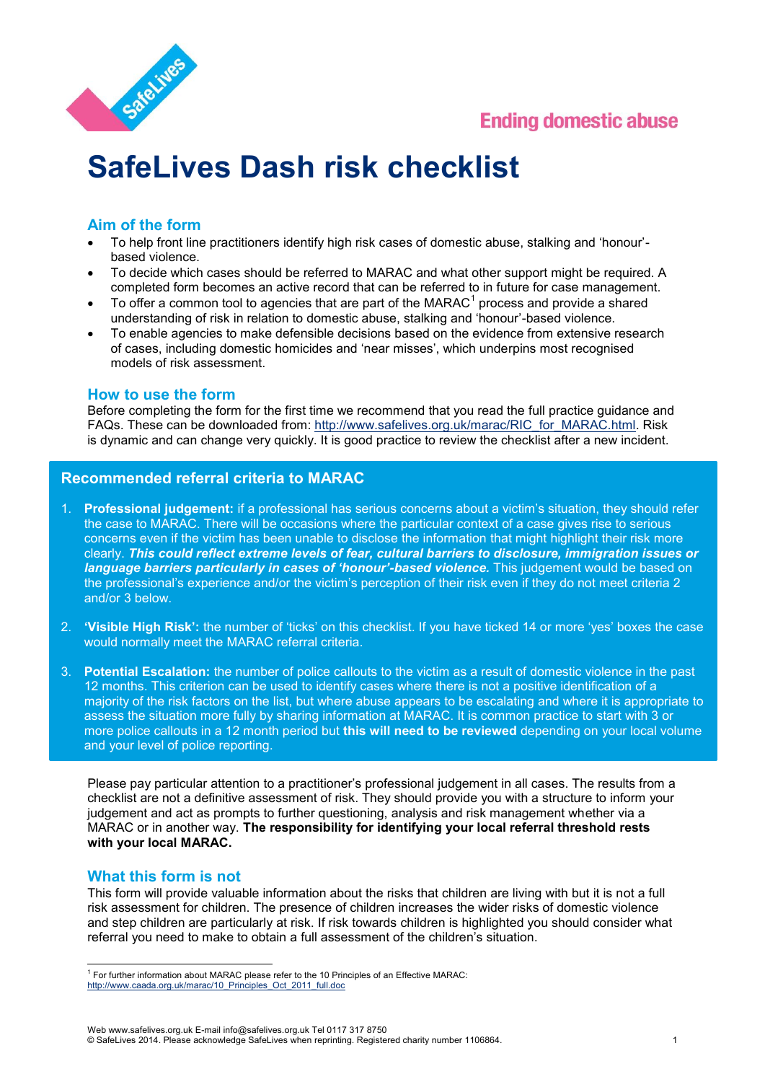



# **SafeLives Dash risk checklist**

# **Aim of the form**

- To help front line practitioners identify high risk cases of domestic abuse, stalking and 'honour' based violence.
- To decide which cases should be referred to MARAC and what other support might be required. A completed form becomes an active record that can be referred to in future for case management.
- $\bullet$  To offer a common tool to agencies that are part of the MARAC<sup>1</sup> process and provide a shared understanding of risk in relation to domestic abuse, stalking and 'honour'-based violence.
- To enable agencies to make defensible decisions based on the evidence from extensive research of cases, including domestic homicides and 'near misses', which underpins most recognised models of risk assessment.

### **How to use the form**

Before completing the form for the first time we recommend that you read the full practice guidance and FAQs. These can be downloaded from: [http://www.safelives.org.uk/marac/RIC\\_for\\_MARAC.html.](http://www.caada.org.uk/marac/RIC_for_MARAC.html) Risk is dynamic and can change very quickly. It is good practice to review the checklist after a new incident.

## **Recommended referral criteria to MARAC**

- 1. **Professional judgement:** if a professional has serious concerns about a victim's situation, they should refer the case to MARAC. There will be occasions where the particular context of a case gives rise to serious concerns even if the victim has been unable to disclose the information that might highlight their risk more clearly. *This could reflect extreme levels of fear, cultural barriers to disclosure, immigration issues or language barriers particularly in cases of 'honour'-based violence.* This judgement would be based on the professional's experience and/or the victim's perception of their risk even if they do not meet criteria 2 and/or 3 below.
- 2. **'Visible High Risk':** the number of 'ticks' on this checklist. If you have ticked 14 or more 'yes' boxes the case would normally meet the MARAC referral criteria.
- 3. **Potential Escalation:** the number of police callouts to the victim as a result of domestic violence in the past 12 months. This criterion can be used to identify cases where there is not a positive identification of a majority of the risk factors on the list, but where abuse appears to be escalating and where it is appropriate to assess the situation more fully by sharing information at MARAC. It is common practice to start with 3 or more police callouts in a 12 month period but **this will need to be reviewed** depending on your local volume and your level of police reporting.

Please pay particular attention to a practitioner's professional judgement in all cases. The results from a checklist are not a definitive assessment of risk. They should provide you with a structure to inform your judgement and act as prompts to further questioning, analysis and risk management whether via a MARAC or in another way. **The responsibility for identifying your local referral threshold rests with your local MARAC.** 

### **What this form is not**

This form will provide valuable information about the risks that children are living with but it is not a full risk assessment for children. The presence of children increases the wider risks of domestic violence and step children are particularly at risk. If risk towards children is highlighted you should consider what referral you need to make to obtain a full assessment of the children's situation.

<sup>&</sup>lt;sup>1</sup> For further information about MARAC please refer to the 10 Principles of an Effective MARAC: http://www.caada.org.uk/marac/10 Principles\_Oct\_2011\_full.doc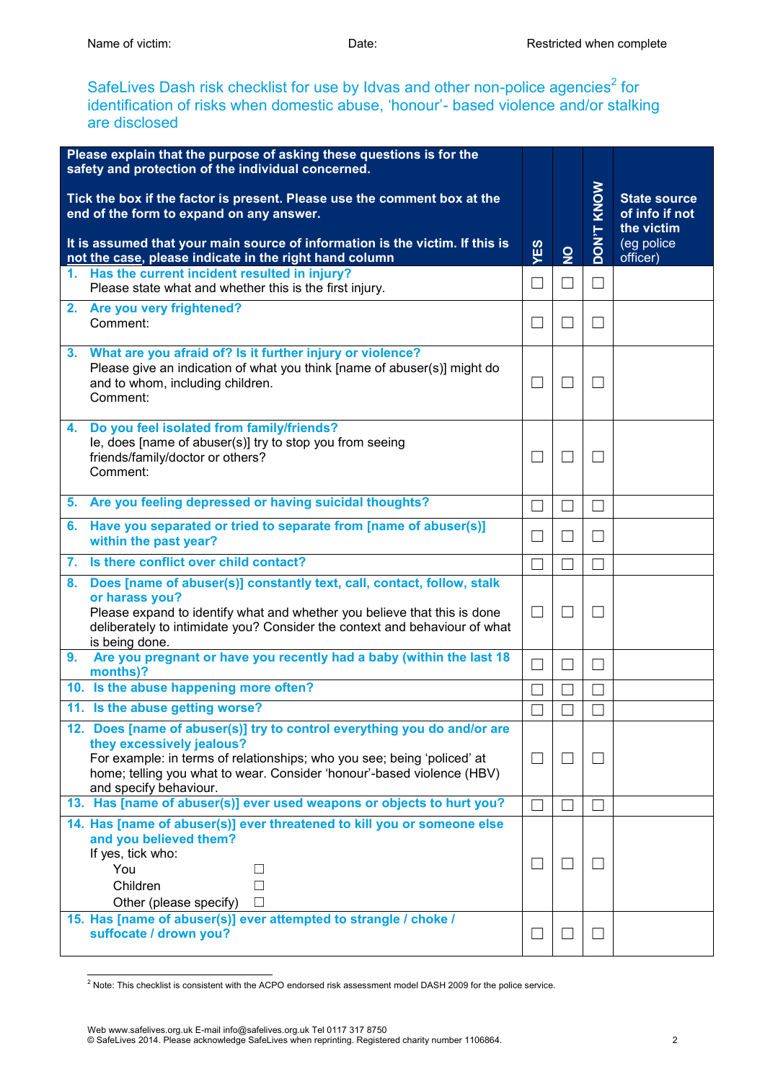SafeLives Dash risk checklist for use by Idvas and other non-police agencies<sup>2</sup> for identification of risks when domestic abuse, 'honour'- based violence and/or stalking are disclosed

|    | Please explain that the purpose of asking these questions is for the<br>safety and protection of the individual concerned.                                                                                                                                                           |                |                   |                   |                                                                               |
|----|--------------------------------------------------------------------------------------------------------------------------------------------------------------------------------------------------------------------------------------------------------------------------------------|----------------|-------------------|-------------------|-------------------------------------------------------------------------------|
|    | Tick the box if the factor is present. Please use the comment box at the<br>end of the form to expand on any answer.<br>It is assumed that your main source of information is the victim. If this is<br>not the case, please indicate in the right hand column                       | YES            | $\overline{2}$    | <b>DON'T KNOW</b> | <b>State source</b><br>of info if not<br>the victim<br>(eg police<br>officer) |
| 1. | Has the current incident resulted in injury?<br>Please state what and whether this is the first injury.                                                                                                                                                                              | П              | $\Box$            | П                 |                                                                               |
|    | 2. Are you very frightened?<br>Comment:                                                                                                                                                                                                                                              | $\Box$         |                   | $\mathsf{L}$      |                                                                               |
|    | 3. What are you afraid of? Is it further injury or violence?<br>Please give an indication of what you think [name of abuser(s)] might do<br>and to whom, including children.<br>Comment:                                                                                             | $\blacksquare$ |                   | M                 |                                                                               |
| 4. | Do you feel isolated from family/friends?<br>le, does [name of abuser(s)] try to stop you from seeing<br>friends/family/doctor or others?<br>Comment:                                                                                                                                | $\Box$         | $\vert \ \ \vert$ | $\Box$            |                                                                               |
|    | 5. Are you feeling depressed or having suicidal thoughts?                                                                                                                                                                                                                            |                |                   | $\mathcal{L}$     |                                                                               |
| 6. | Have you separated or tried to separate from [name of abuser(s)]<br>within the past year?                                                                                                                                                                                            | $\blacksquare$ | $\vert \ \ \vert$ | M                 |                                                                               |
| 7. | Is there conflict over child contact?                                                                                                                                                                                                                                                |                |                   |                   |                                                                               |
| 8. | Does [name of abuser(s)] constantly text, call, contact, follow, stalk<br>or harass you?<br>Please expand to identify what and whether you believe that this is done<br>deliberately to intimidate you? Consider the context and behaviour of what<br>is being done.                 | $\perp$        | $\vert \ \ \vert$ | $\perp$           |                                                                               |
| 9. | Are you pregnant or have you recently had a baby (within the last 18<br>months)?                                                                                                                                                                                                     |                |                   | $\Box$            |                                                                               |
|    | 10. Is the abuse happening more often?                                                                                                                                                                                                                                               |                |                   |                   |                                                                               |
|    | 11. Is the abuse getting worse?                                                                                                                                                                                                                                                      |                |                   |                   |                                                                               |
|    | 12. Does [name of abuser(s)] try to control everything you do and/or are<br>they excessively jealous?<br>For example: in terms of relationships; who you see; being 'policed' at<br>home; telling you what to wear. Consider 'honour'-based violence (HBV)<br>and specify behaviour. | $\Box$         |                   | $\Box$            |                                                                               |
|    | 13. Has [name of abuser(s)] ever used weapons or objects to hurt you?                                                                                                                                                                                                                |                | $\vert \ \ \vert$ | $\vert \ \ \vert$ |                                                                               |
|    | 14. Has [name of abuser(s)] ever threatened to kill you or someone else<br>and you believed them?<br>If yes, tick who:<br>You<br>$\perp$<br>$\Box$<br>Children<br>Other (please specify)<br>$\Box$                                                                                   | $\Box$         | ⊔                 | $\mathsf{L}$      |                                                                               |
|    | 15. Has [name of abuser(s)] ever attempted to strangle / choke /<br>suffocate / drown you?                                                                                                                                                                                           |                |                   |                   |                                                                               |

 2 Note: This checklist is consistent with the ACPO endorsed risk assessment model DASH 2009 for the police service.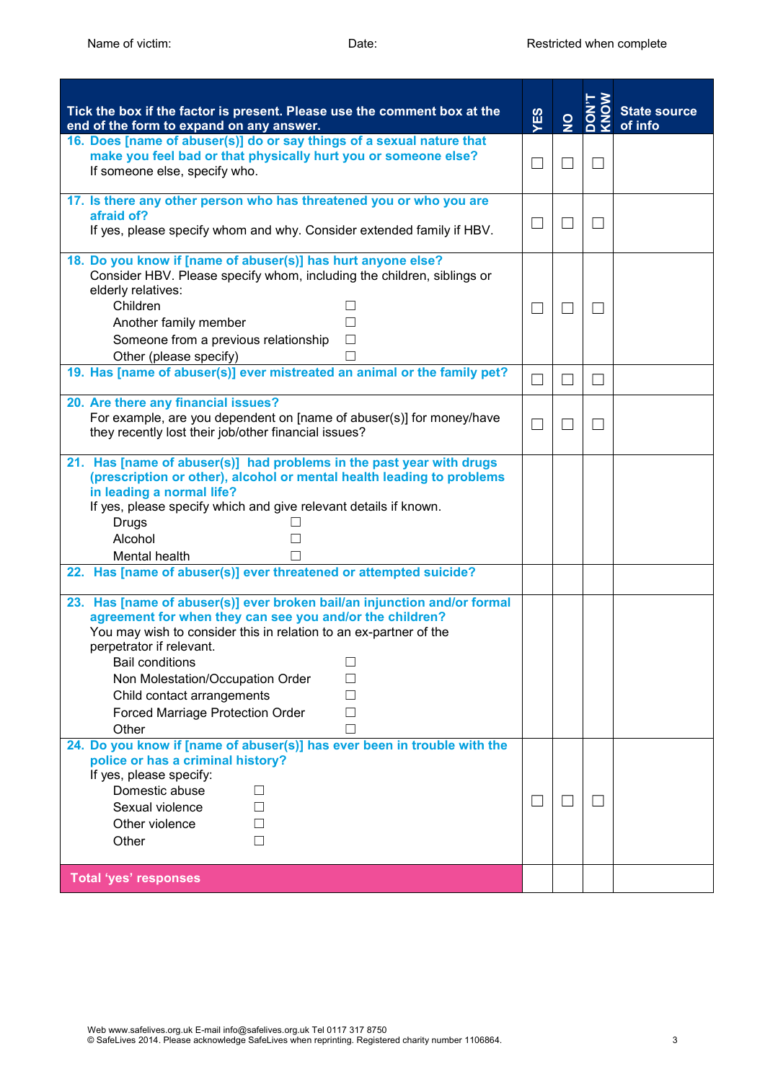| Tick the box if the factor is present. Please use the comment box at the<br>end of the form to expand on any answer.                                                                                                                                                                                                                                                                  | YES                         | $\overline{2}$ | KNOW   | <b>State source</b><br>of info |
|---------------------------------------------------------------------------------------------------------------------------------------------------------------------------------------------------------------------------------------------------------------------------------------------------------------------------------------------------------------------------------------|-----------------------------|----------------|--------|--------------------------------|
| 16. Does [name of abuser(s)] do or say things of a sexual nature that<br>make you feel bad or that physically hurt you or someone else?<br>If someone else, specify who.                                                                                                                                                                                                              | ┓                           | $\mathcal{L}$  | $\Box$ |                                |
| 17. Is there any other person who has threatened you or who you are<br>afraid of?                                                                                                                                                                                                                                                                                                     |                             |                |        |                                |
| If yes, please specify whom and why. Consider extended family if HBV.                                                                                                                                                                                                                                                                                                                 | ×                           | ×              |        |                                |
| 18. Do you know if [name of abuser(s)] has hurt anyone else?<br>Consider HBV. Please specify whom, including the children, siblings or<br>elderly relatives:<br>Children<br>Another family member<br>Someone from a previous relationship                                                                                                                                             | ×                           | ×              | L      |                                |
| Other (please specify)                                                                                                                                                                                                                                                                                                                                                                |                             |                |        |                                |
| 19. Has [name of abuser(s)] ever mistreated an animal or the family pet?                                                                                                                                                                                                                                                                                                              | $\mathcal{L}_{\mathcal{A}}$ | $\Box$         | $\Box$ |                                |
| 20. Are there any financial issues?<br>For example, are you dependent on [name of abuser(s)] for money/have<br>they recently lost their job/other financial issues?                                                                                                                                                                                                                   | $\mathcal{L}_{\mathcal{A}}$ | M              |        |                                |
| 21. Has [name of abuser(s)] had problems in the past year with drugs<br>(prescription or other), alcohol or mental health leading to problems<br>in leading a normal life?<br>If yes, please specify which and give relevant details if known.<br>Drugs<br>Alcohol<br>Mental health                                                                                                   |                             |                |        |                                |
| 22. Has [name of abuser(s)] ever threatened or attempted suicide?                                                                                                                                                                                                                                                                                                                     |                             |                |        |                                |
| 23. Has [name of abuser(s)] ever broken bail/an injunction and/or formal<br>agreement for when they can see you and/or the children?<br>You may wish to consider this in relation to an ex-partner of the<br>perpetrator if relevant.<br><b>Bail conditions</b><br>Non Molestation/Occupation Order<br>Child contact arrangements<br><b>Forced Marriage Protection Order</b><br>Other |                             |                |        |                                |
| 24. Do you know if [name of abuser(s)] has ever been in trouble with the<br>police or has a criminal history?<br>If yes, please specify:<br>Domestic abuse<br>Sexual violence<br>Other violence<br>Other                                                                                                                                                                              | ×                           |                |        |                                |
| <b>Total 'yes' responses</b>                                                                                                                                                                                                                                                                                                                                                          |                             |                |        |                                |